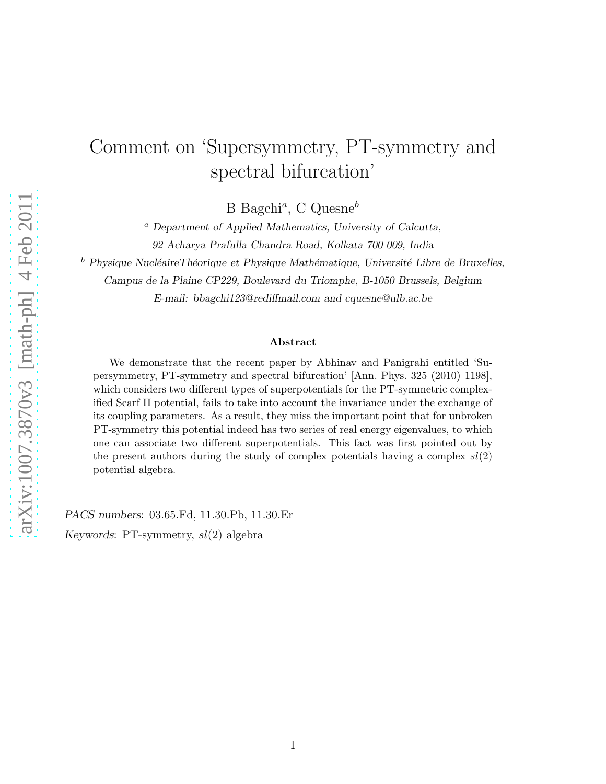## Comment on 'Supersymmetry, PT-symmetry and spectral bifurcation'

B Bagchi<sup>a</sup>, C Quesne<sup>b</sup>

 $a$  Department of Applied Mathematics, University of Calcutta, 92 Acharya Prafulla Chandra Road, Kolkata 700 009, India

 $<sup>b</sup>$  Physique NucléaireThéorique et Physique Mathématique, Université Libre de Bruxelles,</sup>

Campus de la Plaine CP229, Boulevard du Triomphe, B-1050 Brussels, Belgium

E-mail: bbagchi123@rediffmail.com and cquesne@ulb.ac.be

## Abstract

We demonstrate that the recent paper by Abhinav and Panigrahi entitled 'Supersymmetry, PT-symmetry and spectral bifurcation' [Ann. Phys. 325 (2010) 1198], which considers two different types of superpotentials for the PT-symmetric complexified Scarf II potential, fails to take into account the invariance under the exchange of its coupling parameters. As a result, they miss the important point that for unbroken PT-symmetry this potential indeed has two series of real energy eigenvalues, to which one can associate two different superpotentials. This fact was first pointed out by the present authors during the study of complex potentials having a complex  $sl(2)$ potential algebra.

PACS numbers: 03.65.Fd, 11.30.Pb, 11.30.Er Keywords: PT-symmetry,  $sl(2)$  algebra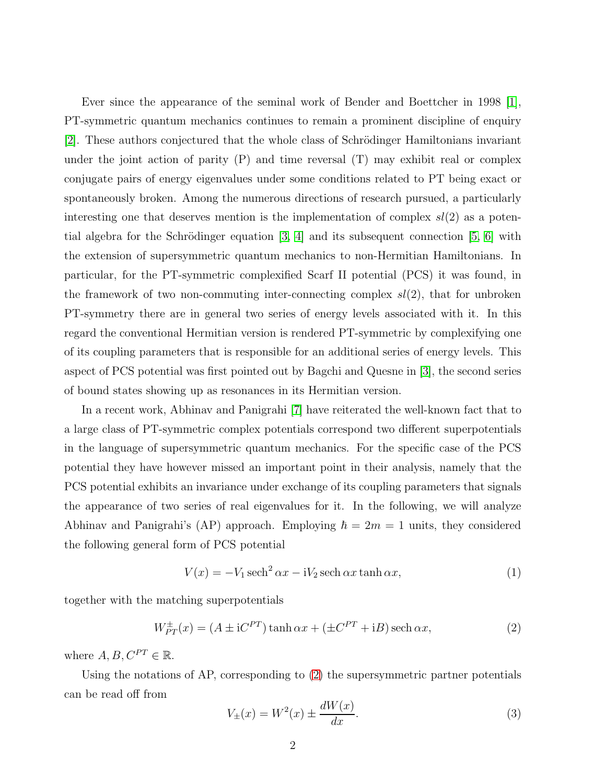Ever since the appearance of the seminal work of Bender and Boettcher in 1998 [\[1\]](#page-5-0), PT-symmetric quantum mechanics continues to remain a prominent discipline of enquiry [\[2\]](#page-5-1). These authors conjectured that the whole class of Schrödinger Hamiltonians invariant under the joint action of parity  $(P)$  and time reversal  $(T)$  may exhibit real or complex conjugate pairs of energy eigenvalues under some conditions related to PT being exact or spontaneously broken. Among the numerous directions of research pursued, a particularly interesting one that deserves mention is the implementation of complex  $sl(2)$  as a potential algebra for the Schrödinger equation  $[3, 4]$  $[3, 4]$  and its subsequent connection  $[5, 6]$  $[5, 6]$  with the extension of supersymmetric quantum mechanics to non-Hermitian Hamiltonians. In particular, for the PT-symmetric complexified Scarf II potential (PCS) it was found, in the framework of two non-commuting inter-connecting complex  $sl(2)$ , that for unbroken PT-symmetry there are in general two series of energy levels associated with it. In this regard the conventional Hermitian version is rendered PT-symmetric by complexifying one of its coupling parameters that is responsible for an additional series of energy levels. This aspect of PCS potential was first pointed out by Bagchi and Quesne in [\[3\]](#page-5-2), the second series of bound states showing up as resonances in its Hermitian version.

In a recent work, Abhinav and Panigrahi [\[7\]](#page-5-6) have reiterated the well-known fact that to a large class of PT-symmetric complex potentials correspond two different superpotentials in the language of supersymmetric quantum mechanics. For the specific case of the PCS potential they have however missed an important point in their analysis, namely that the PCS potential exhibits an invariance under exchange of its coupling parameters that signals the appearance of two series of real eigenvalues for it. In the following, we will analyze Abhinav and Panigrahi's (AP) approach. Employing  $\hbar = 2m = 1$  units, they considered the following general form of PCS potential

$$
V(x) = -V_1 \operatorname{sech}^2 \alpha x - iV_2 \operatorname{sech} \alpha x \tanh \alpha x, \tag{1}
$$

together with the matching superpotentials

<span id="page-1-0"></span>
$$
W_{PT}^{\pm}(x) = (A \pm iC^{PT}) \tanh \alpha x + (\pm C^{PT} + iB) \operatorname{sech} \alpha x,\tag{2}
$$

where  $A, B, C^{PT} \in \mathbb{R}$ .

Using the notations of AP, corresponding to [\(2\)](#page-1-0) the supersymmetric partner potentials can be read off from

$$
V_{\pm}(x) = W^{2}(x) \pm \frac{dW(x)}{dx}.
$$
 (3)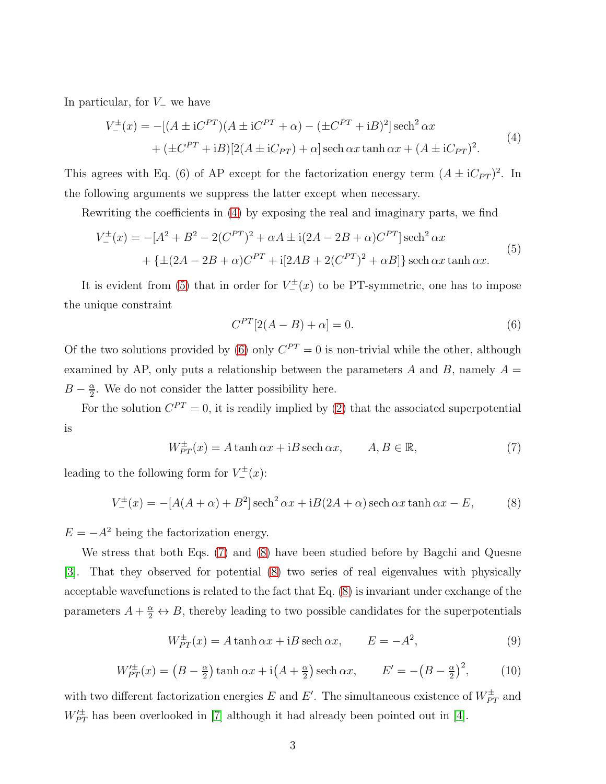<span id="page-2-0"></span>In particular, for  $V_$  we have

$$
V_{-}^{\pm}(x) = -[(A \pm iC^{PT})(A \pm iC^{PT} + \alpha) - (\pm C^{PT} + iB)^{2}] \operatorname{sech}^{2} \alpha x + (\pm C^{PT} + iB)[2(A \pm iC_{PT}) + \alpha] \operatorname{sech} \alpha x \tanh \alpha x + (A \pm iC_{PT})^{2}.
$$
 (4)

This agrees with Eq. (6) of AP except for the factorization energy term  $(A \pm iC_{PT})^2$ . In the following arguments we suppress the latter except when necessary.

Rewriting the coefficients in [\(4\)](#page-2-0) by exposing the real and imaginary parts, we find

<span id="page-2-1"></span>
$$
V_{-}^{\pm}(x) = -[A^{2} + B^{2} - 2(C^{PT})^{2} + \alpha A \pm i(2A - 2B + \alpha)C^{PT}] \operatorname{sech}^{2} \alpha x + \{ \pm (2A - 2B + \alpha)C^{PT} + i[2AB + 2(C^{PT})^{2} + \alpha B] \} \operatorname{sech} \alpha x \tanh \alpha x.
$$
 (5)

It is evident from [\(5\)](#page-2-1) that in order for  $V_{-}^{\pm}(x)$  to be PT-symmetric, one has to impose the unique constraint

<span id="page-2-2"></span>
$$
C^{PT}[2(A-B)+\alpha] = 0.
$$
\n
$$
(6)
$$

Of the two solutions provided by [\(6\)](#page-2-2) only  $C^{PT} = 0$  is non-trivial while the other, although examined by AP, only puts a relationship between the parameters A and B, namely  $A =$  $B-\frac{\alpha}{2}$  $\frac{\alpha}{2}$ . We do not consider the latter possibility here.

For the solution  $C^{PT} = 0$ , it is readily implied by [\(2\)](#page-1-0) that the associated superpotential is

<span id="page-2-3"></span>
$$
W_{PT}^{\pm}(x) = A \tanh \alpha x + iB \operatorname{sech} \alpha x, \qquad A, B \in \mathbb{R}, \tag{7}
$$

leading to the following form for  $V_{-}^{\pm}(x)$ :

<span id="page-2-4"></span>
$$
V_{-}^{\pm}(x) = -[A(A + \alpha) + B^2] \operatorname{sech}^2 \alpha x + iB(2A + \alpha) \operatorname{sech} \alpha x \tanh \alpha x - E,
$$
 (8)

 $E = -A^2$  being the factorization energy.

We stress that both Eqs. [\(7\)](#page-2-3) and [\(8\)](#page-2-4) have been studied before by Bagchi and Quesne [\[3\]](#page-5-2). That they observed for potential [\(8\)](#page-2-4) two series of real eigenvalues with physically acceptable wavefunctions is related to the fact that Eq. [\(8\)](#page-2-4) is invariant under exchange of the parameters  $A + \frac{\alpha}{2} \leftrightarrow B$ , thereby leading to two possible candidates for the superpotentials

$$
W_{PT}^{\pm}(x) = A \tanh \alpha x + iB \operatorname{sech} \alpha x, \qquad E = -A^2,\tag{9}
$$

$$
W_{PT}^{\prime \pm}(x) = \left(B - \frac{\alpha}{2}\right) \tanh \alpha x + \mathrm{i} \left(A + \frac{\alpha}{2}\right) \operatorname{sech} \alpha x, \qquad E' = -\left(B - \frac{\alpha}{2}\right)^2,\tag{10}
$$

with two different factorization energies E and E'. The simultaneous existence of  $W_{PT}^{\pm}$  and  $W_{PT}^{\prime \pm}$  has been overlooked in [\[7\]](#page-5-6) although it had already been pointed out in [\[4\]](#page-5-3).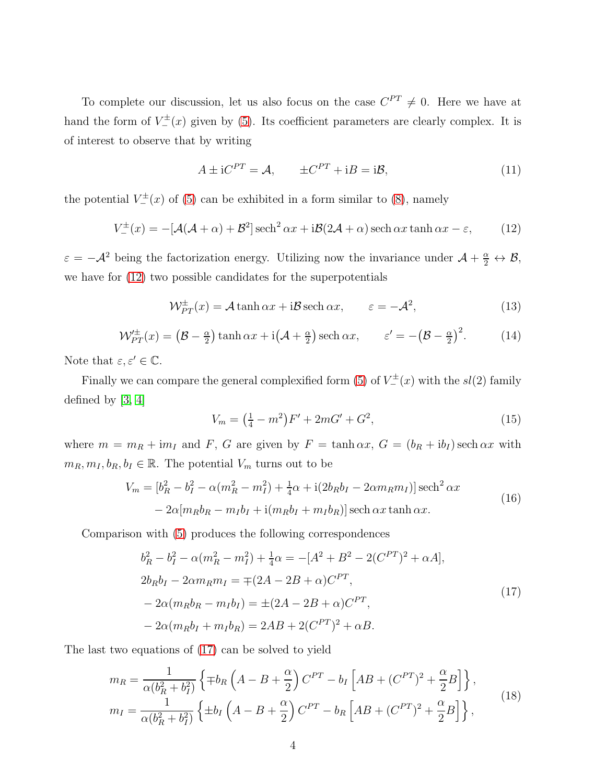To complete our discussion, let us also focus on the case  $C^{PT} \neq 0$ . Here we have at hand the form of  $V_{-}^{\pm}(x)$  given by [\(5\)](#page-2-1). Its coefficient parameters are clearly complex. It is of interest to observe that by writing

$$
A \pm iC^{PT} = \mathcal{A}, \qquad \pm C^{PT} + iB = i\mathcal{B}, \tag{11}
$$

the potential  $V_{-}^{\pm}(x)$  of [\(5\)](#page-2-1) can be exhibited in a form similar to [\(8\)](#page-2-4), namely

<span id="page-3-0"></span>
$$
V_{-}^{\pm}(x) = -[\mathcal{A}(\mathcal{A} + \alpha) + \mathcal{B}^{2}] \operatorname{sech}^{2} \alpha x + i\mathcal{B}(2\mathcal{A} + \alpha) \operatorname{sech} \alpha x \tanh \alpha x - \varepsilon, \qquad (12)
$$

 $\varepsilon = -\mathcal{A}^2$  being the factorization energy. Utilizing now the invariance under  $\mathcal{A} + \frac{\alpha}{2} \leftrightarrow \mathcal{B}$ , we have for [\(12\)](#page-3-0) two possible candidates for the superpotentials

$$
\mathcal{W}_{PT}^{\pm}(x) = \mathcal{A} \tanh \alpha x + i\mathcal{B} \operatorname{sech} \alpha x, \qquad \varepsilon = -\mathcal{A}^2,\tag{13}
$$

$$
\mathcal{W}_{PT}^{\pm}(x) = \left(\mathcal{B} - \frac{\alpha}{2}\right) \tanh \alpha x + \mathrm{i} \left(\mathcal{A} + \frac{\alpha}{2}\right) \operatorname{sech} \alpha x, \qquad \varepsilon' = -\left(\mathcal{B} - \frac{\alpha}{2}\right)^2. \tag{14}
$$

Note that  $\varepsilon, \varepsilon' \in \mathbb{C}$ .

Finally we can compare the general complexified form [\(5\)](#page-2-1) of  $V^{\pm}_{-}(x)$  with the  $sl(2)$  family defined by [\[3,](#page-5-2) [4\]](#page-5-3)

$$
V_m = \left(\frac{1}{4} - m^2\right)F' + 2mG' + G^2,\tag{15}
$$

where  $m = m_R + im_I$  and F, G are given by  $F = \tanh \alpha x$ ,  $G = (b_R + ib_I) \sech \alpha x$  with  $m_R, m_I, b_R, b_I \in \mathbb{R}$ . The potential  $V_m$  turns out to be

$$
V_m = [b_R^2 - b_I^2 - \alpha(m_R^2 - m_I^2) + \frac{1}{4}\alpha + i(2b_Rb_I - 2\alpha m_Rm_I)]\operatorname{sech}^2 \alpha x
$$
  
- 2\alpha[m\_Rb\_R - m\_Ib\_I + i(m\_Rb\_I + m\_Ib\_R)]\operatorname{sech} \alpha x \tanh \alpha x. (16)

<span id="page-3-1"></span>Comparison with [\(5\)](#page-2-1) produces the following correspondences

$$
b_R^2 - b_I^2 - \alpha(m_R^2 - m_I^2) + \frac{1}{4}\alpha = -[A^2 + B^2 - 2(C^{PT})^2 + \alpha A],
$$
  
\n
$$
2b_R b_I - 2\alpha m_R m_I = \mp (2A - 2B + \alpha)C^{PT},
$$
  
\n
$$
-2\alpha(m_R b_R - m_I b_I) = \pm (2A - 2B + \alpha)C^{PT},
$$
  
\n
$$
-2\alpha(m_R b_I + m_I b_R) = 2AB + 2(C^{PT})^2 + \alpha B.
$$
\n(17)

The last two equations of [\(17\)](#page-3-1) can be solved to yield

$$
m_R = \frac{1}{\alpha (b_R^2 + b_I^2)} \left\{ \mp b_R \left( A - B + \frac{\alpha}{2} \right) C^{PT} - b_I \left[ AB + (C^{PT})^2 + \frac{\alpha}{2} B \right] \right\},\
$$
  
\n
$$
m_I = \frac{1}{\alpha (b_R^2 + b_I^2)} \left\{ \pm b_I \left( A - B + \frac{\alpha}{2} \right) C^{PT} - b_R \left[ AB + (C^{PT})^2 + \frac{\alpha}{2} B \right] \right\},
$$
\n(18)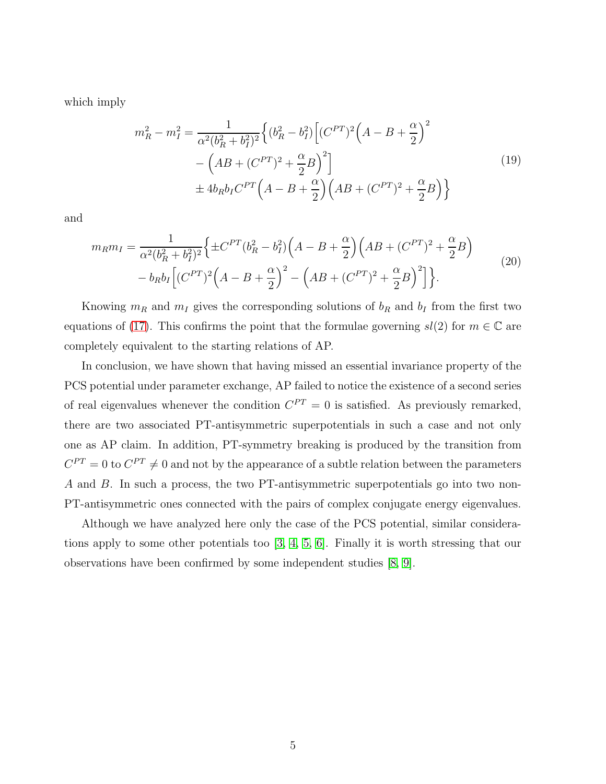which imply

$$
m_R^2 - m_I^2 = \frac{1}{\alpha^2 (b_R^2 + b_I^2)^2} \left\{ (b_R^2 - b_I^2) \left[ (C^{PT})^2 \left( A - B + \frac{\alpha}{2} \right)^2 \right. \right.\left. - \left( AB + (C^{PT})^2 + \frac{\alpha}{2} B \right)^2 \right] \pm 4b_R b_I C^{PT} \left( A - B + \frac{\alpha}{2} \right) \left( AB + (C^{PT})^2 + \frac{\alpha}{2} B \right) \right\}
$$
\n(19)

and

$$
m_R m_I = \frac{1}{\alpha^2 (b_R^2 + b_I^2)^2} \Big\{ \pm C^{PT} (b_R^2 - b_I^2) \Big( A - B + \frac{\alpha}{2} \Big) \Big( AB + (C^{PT})^2 + \frac{\alpha}{2} B \Big) - b_R b_I \Big[ (C^{PT})^2 \Big( A - B + \frac{\alpha}{2} \Big)^2 - \Big( AB + (C^{PT})^2 + \frac{\alpha}{2} B \Big)^2 \Big] \Big\}.
$$
\n(20)

Knowing  $m_R$  and  $m_I$  gives the corresponding solutions of  $b_R$  and  $b_I$  from the first two equations of [\(17\)](#page-3-1). This confirms the point that the formulae governing  $sl(2)$  for  $m \in \mathbb{C}$  are completely equivalent to the starting relations of AP.

In conclusion, we have shown that having missed an essential invariance property of the PCS potential under parameter exchange, AP failed to notice the existence of a second series of real eigenvalues whenever the condition  $C^{PT} = 0$  is satisfied. As previously remarked, there are two associated PT-antisymmetric superpotentials in such a case and not only one as AP claim. In addition, PT-symmetry breaking is produced by the transition from  $C^{PT} = 0$  to  $C^{PT} \neq 0$  and not by the appearance of a subtle relation between the parameters A and B. In such a process, the two PT-antisymmetric superpotentials go into two non-PT-antisymmetric ones connected with the pairs of complex conjugate energy eigenvalues.

Although we have analyzed here only the case of the PCS potential, similar considerations apply to some other potentials too [\[3,](#page-5-2) [4,](#page-5-3) [5,](#page-5-4) [6\]](#page-5-5). Finally it is worth stressing that our observations have been confirmed by some independent studies [\[8,](#page-5-7) [9\]](#page-5-8).